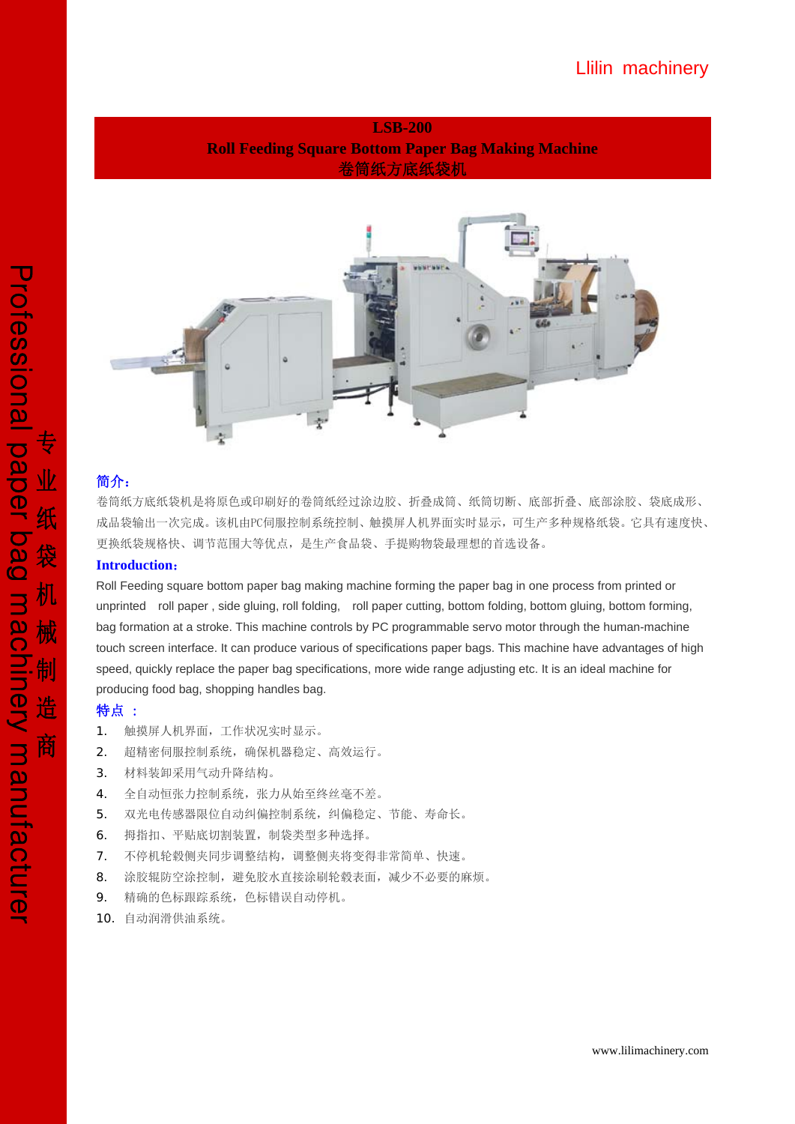**LSB-200 Roll Feeding Square Bottom Paper Bag Making Machine**  卷筒纸方底纸袋机



# 简介:

卷筒纸方底纸袋机是将原色或印刷好的卷筒纸经过涂边胶、折叠成筒、纸筒切断、底部折叠、底部涂胶、袋底成形、 成品袋输出一次完成。该机由PC伺服控制系统控制、触摸屏人机界面实时显示,可生产多种规格纸袋。它具有速度快、 更换纸袋规格快、调节范围大等优点,是生产食品袋、手提购物袋最理想的首选设备。

#### **Introduction**:

Roll Feeding square bottom paper bag making machine forming the paper bag in one process from printed or unprinted roll paper , side gluing, roll folding, roll paper cutting, bottom folding, bottom gluing, bottom forming, bag formation at a stroke. This machine controls by PC programmable servo motor through the human-machine touch screen interface. It can produce various of specifications paper bags. This machine have advantages of high speed, quickly replace the paper bag specifications, more wide range adjusting etc. It is an ideal machine for producing food bag, shopping handles bag.

### 特点 :

- 1. 触摸屏人机界面,工作状况实时显示。
- 2. 超精密伺服控制系统,确保机器稳定、高效运行。
- 3. 材料装卸采用气动升降结构。
- 4. 全自动恒张力控制系统,张力从始至终丝毫不差。
- 5. 双光电传感器限位自动纠偏控制系统,纠偏稳定、节能、寿命长。
- 6. 拇指扣、平贴底切割装置,制袋类型多种选择。
- 7. 不停机轮毂侧夹同步调整结构,调整侧夹将变得非常简单、快速。
- 8. 涂胶辊防空涂控制,避免胶水直接涂刷轮毂表面,减少不必要的麻烦。
- 9. 精确的色标跟踪系统,色标错误自动停机。
- 10. 自动润滑供油系统。